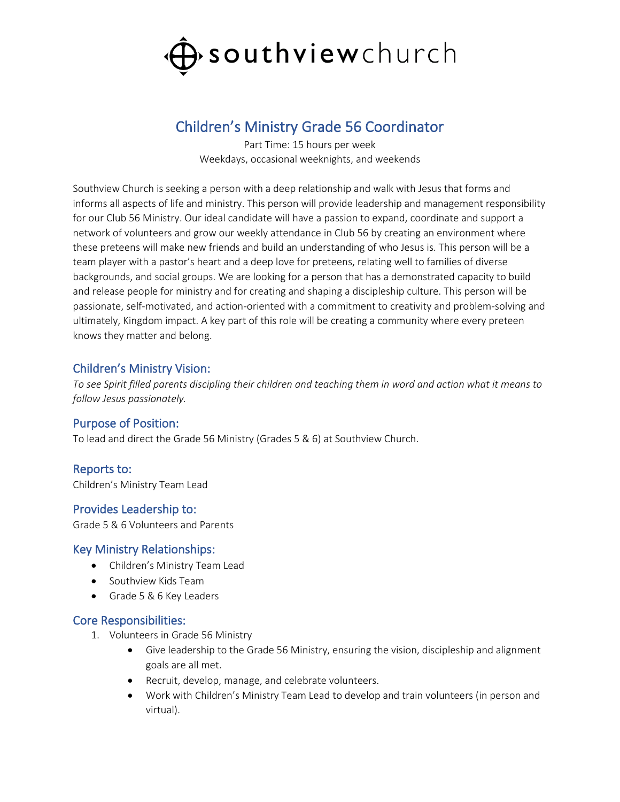

# Children's Ministry Grade 56 Coordinator

Part Time: 15 hours per week Weekdays, occasional weeknights, and weekends

Southview Church is seeking a person with a deep relationship and walk with Jesus that forms and informs all aspects of life and ministry. This person will provide leadership and management responsibility for our Club 56 Ministry. Our ideal candidate will have a passion to expand, coordinate and support a network of volunteers and grow our weekly attendance in Club 56 by creating an environment where these preteens will make new friends and build an understanding of who Jesus is. This person will be a team player with a pastor's heart and a deep love for preteens, relating well to families of diverse backgrounds, and social groups. We are looking for a person that has a demonstrated capacity to build and release people for ministry and for creating and shaping a discipleship culture. This person will be passionate, self-motivated, and action-oriented with a commitment to creativity and problem-solving and ultimately, Kingdom impact. A key part of this role will be creating a community where every preteen knows they matter and belong.

## Children's Ministry Vision:

*To see Spirit filled parents discipling their children and teaching them in word and action what it means to follow Jesus passionately.*

## Purpose of Position:

To lead and direct the Grade 56 Ministry (Grades 5 & 6) at Southview Church.

## Reports to:

Children's Ministry Team Lead

## Provides Leadership to:

Grade 5 & 6 Volunteers and Parents

#### Key Ministry Relationships:

- Children's Ministry Team Lead
- Southview Kids Team
- Grade 5 & 6 Key Leaders

#### Core Responsibilities:

- 1. Volunteers in Grade 56 Ministry
	- Give leadership to the Grade 56 Ministry, ensuring the vision, discipleship and alignment goals are all met.
	- Recruit, develop, manage, and celebrate volunteers.
	- Work with Children's Ministry Team Lead to develop and train volunteers (in person and virtual).